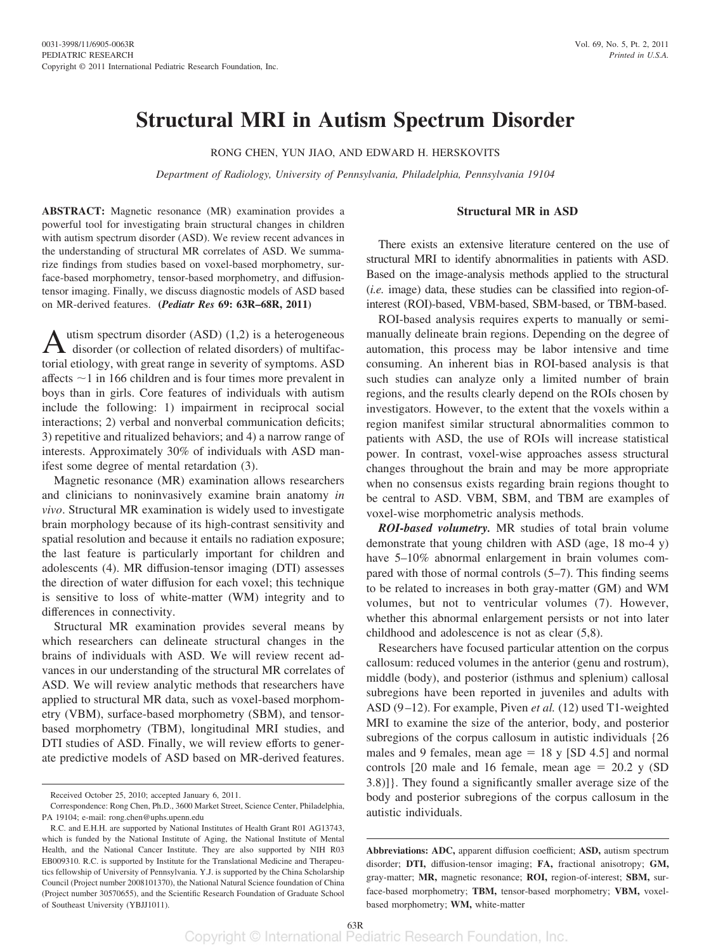# **Structural MRI in Autism Spectrum Disorder**

RONG CHEN, YUN JIAO, AND EDWARD H. HERSKOVITS

*Department of Radiology, University of Pennsylvania, Philadelphia, Pennsylvania 19104*

#### **Structural MR in ASD**

**ABSTRACT:** Magnetic resonance (MR) examination provides a powerful tool for investigating brain structural changes in children with autism spectrum disorder (ASD). We review recent advances in the understanding of structural MR correlates of ASD. We summarize findings from studies based on voxel-based morphometry, surface-based morphometry, tensor-based morphometry, and diffusiontensor imaging. Finally, we discuss diagnostic models of ASD based on MR-derived features. **(***Pediatr Res* **69: 63R–68R, 2011)**

utism spectrum disorder  $(ASD)$   $(1,2)$  is a heterogeneous disorder (or collection of related disorders) of multifactorial etiology, with great range in severity of symptoms. ASD affects  $\sim$ 1 in 166 children and is four times more prevalent in boys than in girls. Core features of individuals with autism include the following: 1) impairment in reciprocal social interactions; 2) verbal and nonverbal communication deficits; 3) repetitive and ritualized behaviors; and 4) a narrow range of interests. Approximately 30% of individuals with ASD manifest some degree of mental retardation (3).

Magnetic resonance (MR) examination allows researchers and clinicians to noninvasively examine brain anatomy *in vivo*. Structural MR examination is widely used to investigate brain morphology because of its high-contrast sensitivity and spatial resolution and because it entails no radiation exposure; the last feature is particularly important for children and adolescents (4). MR diffusion-tensor imaging (DTI) assesses the direction of water diffusion for each voxel; this technique is sensitive to loss of white-matter (WM) integrity and to differences in connectivity.

Structural MR examination provides several means by which researchers can delineate structural changes in the brains of individuals with ASD. We will review recent advances in our understanding of the structural MR correlates of ASD. We will review analytic methods that researchers have applied to structural MR data, such as voxel-based morphometry (VBM), surface-based morphometry (SBM), and tensorbased morphometry (TBM), longitudinal MRI studies, and DTI studies of ASD. Finally, we will review efforts to generate predictive models of ASD based on MR-derived features.

There exists an extensive literature centered on the use of structural MRI to identify abnormalities in patients with ASD. Based on the image-analysis methods applied to the structural (*i.e.* image) data, these studies can be classified into region-ofinterest (ROI)-based, VBM-based, SBM-based, or TBM-based.

ROI-based analysis requires experts to manually or semimanually delineate brain regions. Depending on the degree of automation, this process may be labor intensive and time consuming. An inherent bias in ROI-based analysis is that such studies can analyze only a limited number of brain regions, and the results clearly depend on the ROIs chosen by investigators. However, to the extent that the voxels within a region manifest similar structural abnormalities common to patients with ASD, the use of ROIs will increase statistical power. In contrast, voxel-wise approaches assess structural changes throughout the brain and may be more appropriate when no consensus exists regarding brain regions thought to be central to ASD. VBM, SBM, and TBM are examples of voxel-wise morphometric analysis methods.

*ROI-based volumetry.* MR studies of total brain volume demonstrate that young children with ASD (age, 18 mo-4 y) have 5–10% abnormal enlargement in brain volumes compared with those of normal controls (5–7). This finding seems to be related to increases in both gray-matter (GM) and WM volumes, but not to ventricular volumes (7). However, whether this abnormal enlargement persists or not into later childhood and adolescence is not as clear (5,8).

Researchers have focused particular attention on the corpus callosum: reduced volumes in the anterior (genu and rostrum), middle (body), and posterior (isthmus and splenium) callosal subregions have been reported in juveniles and adults with ASD (9-12). For example, Piven *et al.* (12) used T1-weighted MRI to examine the size of the anterior, body, and posterior subregions of the corpus callosum in autistic individuals {26 males and 9 females, mean  $age = 18$  y  $[SD 4.5]$  and normal controls  $[20 \text{ male and } 16 \text{ female, mean age} = 20.2 \text{ y } (SD)$ 3.8)]}. They found a significantly smaller average size of the body and posterior subregions of the corpus callosum in the autistic individuals.

Received October 25, 2010; accepted January 6, 2011.

Correspondence: Rong Chen, Ph.D., 3600 Market Street, Science Center, Philadelphia, PA 19104; e-mail: rong.chen@uphs.upenn.edu

R.C. and E.H.H. are supported by National Institutes of Health Grant R01 AG13743, which is funded by the National Institute of Aging, the National Institute of Mental Health, and the National Cancer Institute. They are also supported by NIH R03 EB009310. R.C. is supported by Institute for the Translational Medicine and Therapeutics fellowship of University of Pennsylvania. Y.J. is supported by the China Scholarship Council (Project number 2008101370), the National Natural Science foundation of China (Project number 30570655), and the Scientific Research Foundation of Graduate School of Southeast University (YBJJ1011).

**Abbreviations: ADC,** apparent diffusion coefficient; **ASD,** autism spectrum disorder; **DTI,** diffusion-tensor imaging; **FA,** fractional anisotropy; **GM,** gray-matter; **MR,** magnetic resonance; **ROI,** region-of-interest; **SBM,** surface-based morphometry; **TBM,** tensor-based morphometry; **VBM,** voxelbased morphometry; **WM,** white-matter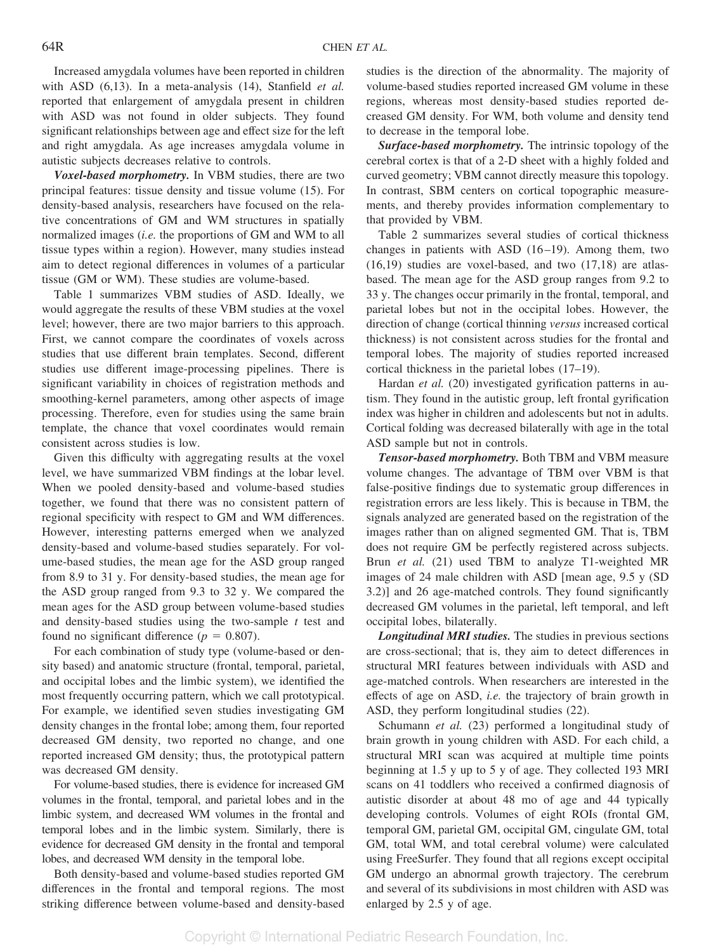Increased amygdala volumes have been reported in children with ASD (6,13). In a meta-analysis (14), Stanfield *et al.* reported that enlargement of amygdala present in children with ASD was not found in older subjects. They found significant relationships between age and effect size for the left and right amygdala. As age increases amygdala volume in autistic subjects decreases relative to controls.

*Voxel-based morphometry.* In VBM studies, there are two principal features: tissue density and tissue volume (15). For density-based analysis, researchers have focused on the relative concentrations of GM and WM structures in spatially normalized images (*i.e.* the proportions of GM and WM to all tissue types within a region). However, many studies instead aim to detect regional differences in volumes of a particular tissue (GM or WM). These studies are volume-based.

Table 1 summarizes VBM studies of ASD. Ideally, we would aggregate the results of these VBM studies at the voxel level; however, there are two major barriers to this approach. First, we cannot compare the coordinates of voxels across studies that use different brain templates. Second, different studies use different image-processing pipelines. There is significant variability in choices of registration methods and smoothing-kernel parameters, among other aspects of image processing. Therefore, even for studies using the same brain template, the chance that voxel coordinates would remain consistent across studies is low.

Given this difficulty with aggregating results at the voxel level, we have summarized VBM findings at the lobar level. When we pooled density-based and volume-based studies together, we found that there was no consistent pattern of regional specificity with respect to GM and WM differences. However, interesting patterns emerged when we analyzed density-based and volume-based studies separately. For volume-based studies, the mean age for the ASD group ranged from 8.9 to 31 y. For density-based studies, the mean age for the ASD group ranged from 9.3 to 32 y. We compared the mean ages for the ASD group between volume-based studies and density-based studies using the two-sample *t* test and found no significant difference ( $p = 0.807$ ).

For each combination of study type (volume-based or density based) and anatomic structure (frontal, temporal, parietal, and occipital lobes and the limbic system), we identified the most frequently occurring pattern, which we call prototypical. For example, we identified seven studies investigating GM density changes in the frontal lobe; among them, four reported decreased GM density, two reported no change, and one reported increased GM density; thus, the prototypical pattern was decreased GM density.

For volume-based studies, there is evidence for increased GM volumes in the frontal, temporal, and parietal lobes and in the limbic system, and decreased WM volumes in the frontal and temporal lobes and in the limbic system. Similarly, there is evidence for decreased GM density in the frontal and temporal lobes, and decreased WM density in the temporal lobe.

Both density-based and volume-based studies reported GM differences in the frontal and temporal regions. The most striking difference between volume-based and density-based

studies is the direction of the abnormality. The majority of volume-based studies reported increased GM volume in these regions, whereas most density-based studies reported decreased GM density. For WM, both volume and density tend to decrease in the temporal lobe.

*Surface-based morphometry.* The intrinsic topology of the cerebral cortex is that of a 2-D sheet with a highly folded and curved geometry; VBM cannot directly measure this topology. In contrast, SBM centers on cortical topographic measurements, and thereby provides information complementary to that provided by VBM.

Table 2 summarizes several studies of cortical thickness changes in patients with ASD  $(16-19)$ . Among them, two (16,19) studies are voxel-based, and two (17,18) are atlasbased. The mean age for the ASD group ranges from 9.2 to 33 y. The changes occur primarily in the frontal, temporal, and parietal lobes but not in the occipital lobes. However, the direction of change (cortical thinning *versus* increased cortical thickness) is not consistent across studies for the frontal and temporal lobes. The majority of studies reported increased cortical thickness in the parietal lobes (17–19).

Hardan *et al.* (20) investigated gyrification patterns in autism. They found in the autistic group, left frontal gyrification index was higher in children and adolescents but not in adults. Cortical folding was decreased bilaterally with age in the total ASD sample but not in controls.

*Tensor-based morphometry.* Both TBM and VBM measure volume changes. The advantage of TBM over VBM is that false-positive findings due to systematic group differences in registration errors are less likely. This is because in TBM, the signals analyzed are generated based on the registration of the images rather than on aligned segmented GM. That is, TBM does not require GM be perfectly registered across subjects. Brun *et al.* (21) used TBM to analyze T1-weighted MR images of 24 male children with ASD [mean age, 9.5 y (SD 3.2)] and 26 age-matched controls. They found significantly decreased GM volumes in the parietal, left temporal, and left occipital lobes, bilaterally.

*Longitudinal MRI studies.* The studies in previous sections are cross-sectional; that is, they aim to detect differences in structural MRI features between individuals with ASD and age-matched controls. When researchers are interested in the effects of age on ASD, *i.e.* the trajectory of brain growth in ASD, they perform longitudinal studies (22).

Schumann *et al.* (23) performed a longitudinal study of brain growth in young children with ASD. For each child, a structural MRI scan was acquired at multiple time points beginning at 1.5 y up to 5 y of age. They collected 193 MRI scans on 41 toddlers who received a confirmed diagnosis of autistic disorder at about 48 mo of age and 44 typically developing controls. Volumes of eight ROIs (frontal GM, temporal GM, parietal GM, occipital GM, cingulate GM, total GM, total WM, and total cerebral volume) were calculated using FreeSurfer. They found that all regions except occipital GM undergo an abnormal growth trajectory. The cerebrum and several of its subdivisions in most children with ASD was enlarged by 2.5 y of age.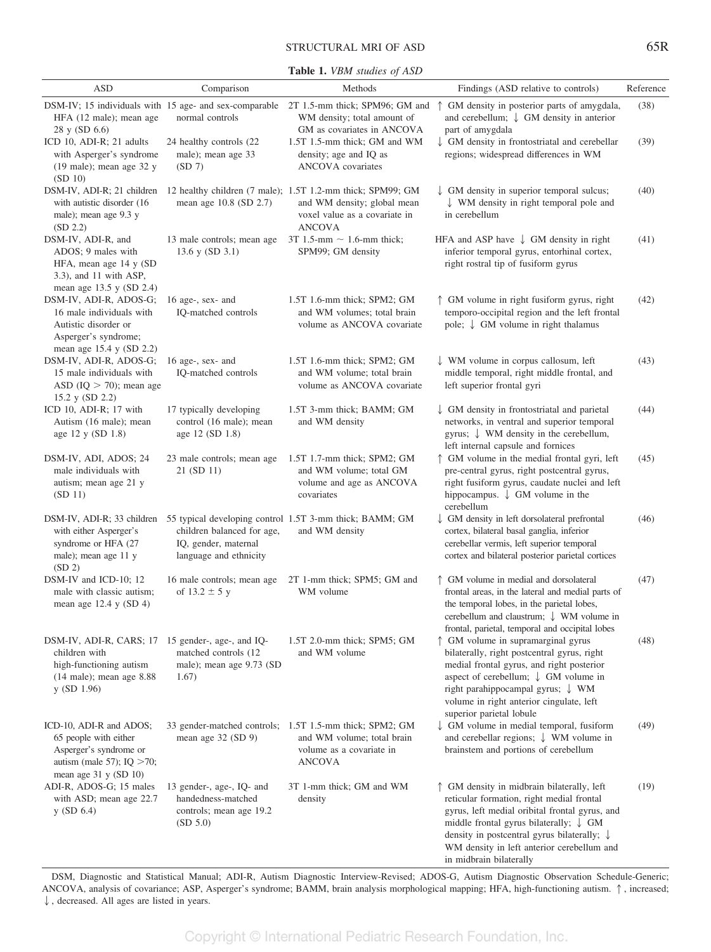## STRUCTURAL MRI OF ASD 65R

**Table 1.** *VBM studies of ASD*

| <b>ASD</b>                                                                                                                                          | Comparison                                                                             | Methods                                                                                                                                     | Findings (ASD relative to controls)                                                                                                                                                                                                                                                                                               | Reference |
|-----------------------------------------------------------------------------------------------------------------------------------------------------|----------------------------------------------------------------------------------------|---------------------------------------------------------------------------------------------------------------------------------------------|-----------------------------------------------------------------------------------------------------------------------------------------------------------------------------------------------------------------------------------------------------------------------------------------------------------------------------------|-----------|
| HFA (12 male); mean age                                                                                                                             | normal controls                                                                        | WM density; total amount of                                                                                                                 | DSM-IV; 15 individuals with 15 age- and sex-comparable 2T 1.5-mm thick; SPM96; GM and ↑ GM density in posterior parts of amygdala,<br>and cerebellum; $\downarrow$ GM density in anterior                                                                                                                                         | (38)      |
| 28 y (SD 6.6)<br>ICD 10, ADI-R; 21 adults<br>with Asperger's syndrome<br>$(19 \text{ male})$ ; mean age 32 y<br>(SD 10)                             | 24 healthy controls (22)<br>male); mean age 33<br>(SD 7)                               | GM as covariates in ANCOVA<br>1.5T 1.5-mm thick; GM and WM<br>density; age and IQ as<br><b>ANCOVA</b> covariates                            | part of amygdala<br>$\downarrow$ GM density in frontostriatal and cerebellar<br>regions; widespread differences in WM                                                                                                                                                                                                             | (39)      |
| DSM-IV, ADI-R; 21 children<br>with autistic disorder (16)<br>male); mean age 9.3 y<br>(SD 2.2)                                                      | mean age 10.8 (SD 2.7)                                                                 | 12 healthy children (7 male); 1.5T 1.2-mm thick; SPM99; GM<br>and WM density; global mean<br>voxel value as a covariate in<br><b>ANCOVA</b> | $\downarrow$ GM density in superior temporal sulcus;<br>$\downarrow$ WM density in right temporal pole and<br>in cerebellum                                                                                                                                                                                                       | (40)      |
| DSM-IV, ADI-R, and<br>ADOS; 9 males with<br>HFA, mean age 14 y (SD)<br>$(3.3)$ , and 11 with ASP,<br>mean age 13.5 y (SD 2.4)                       | 13 male controls; mean age<br>13.6 y (SD 3.1)                                          | 3T 1.5-mm $\sim$ 1.6-mm thick;<br>SPM99; GM density                                                                                         | HFA and ASP have $\downarrow$ GM density in right<br>inferior temporal gyrus, entorhinal cortex,<br>right rostral tip of fusiform gyrus                                                                                                                                                                                           | (41)      |
| DSM-IV, ADI-R, ADOS-G;<br>16 male individuals with<br>Autistic disorder or<br>Asperger's syndrome;<br>mean age $15.4$ y (SD 2.2)                    | 16 age-, sex- and<br>IQ-matched controls                                               | 1.5T 1.6-mm thick; SPM2; GM<br>and WM volumes; total brain<br>volume as ANCOVA covariate                                                    | ↑ GM volume in right fusiform gyrus, right<br>temporo-occipital region and the left frontal<br>pole; $\downarrow$ GM volume in right thalamus                                                                                                                                                                                     | (42)      |
| DSM-IV, ADI-R, ADOS-G;<br>15 male individuals with<br>ASD $(IQ > 70)$ ; mean age<br>15.2 y (SD 2.2)                                                 | 16 age-, sex- and<br>IQ-matched controls                                               | 1.5T 1.6-mm thick; SPM2; GM<br>and WM volume; total brain<br>volume as ANCOVA covariate                                                     | $\downarrow$ WM volume in corpus callosum, left<br>middle temporal, right middle frontal, and<br>left superior frontal gyri                                                                                                                                                                                                       | (43)      |
| ICD 10, ADI-R; 17 with<br>Autism (16 male); mean<br>age 12 y (SD 1.8)                                                                               | 17 typically developing<br>control (16 male); mean<br>age 12 (SD 1.8)                  | 1.5T 3-mm thick; BAMM; GM<br>and WM density                                                                                                 | $\downarrow$ GM density in frontostriatal and parietal<br>networks, in ventral and superior temporal<br>gyrus; $\downarrow$ WM density in the cerebellum,<br>left internal capsule and fornices                                                                                                                                   | (44)      |
| DSM-IV, ADI, ADOS; 24<br>male individuals with<br>autism; mean age 21 y<br>(SD 11)                                                                  | 23 male controls; mean age<br>21 (SD 11)                                               | 1.5T 1.7-mm thick; SPM2; GM<br>and WM volume; total GM<br>volume and age as ANCOVA<br>covariates                                            | ↑ GM volume in the medial frontal gyri, left<br>pre-central gyrus, right postcentral gyrus,<br>right fusiform gyrus, caudate nuclei and left<br>hippocampus. $\downarrow$ GM volume in the<br>cerebellum                                                                                                                          | (45)      |
| with either Asperger's<br>syndrome or HFA (27<br>male); mean age 11 y<br>(SD 2)                                                                     | children balanced for age,<br>IQ, gender, maternal<br>language and ethnicity           | DSM-IV, ADI-R; 33 children 55 typical developing control 1.5T 3-mm thick; BAMM; GM<br>and WM density                                        | GM density in left dorsolateral prefrontal<br>cortex, bilateral basal ganglia, inferior<br>cerebellar vermis, left superior temporal<br>cortex and bilateral posterior parietal cortices                                                                                                                                          | (46)      |
| DSM-IV and ICD-10; 12<br>male with classic autism;<br>mean age $12.4$ y (SD 4)                                                                      | 16 male controls; mean age<br>of $13.2 \pm 5$ y                                        | 2T 1-mm thick; SPM5; GM and<br>WM volume                                                                                                    | ↑ GM volume in medial and dorsolateral<br>frontal areas, in the lateral and medial parts of<br>the temporal lobes, in the parietal lobes,<br>cerebellum and claustrum; $\downarrow$ WM volume in<br>frontal, parietal, temporal and occipital lobes                                                                               | (47)      |
| DSM-IV, ADI-R, CARS; 17 15 gender-, age-, and IQ-<br>children with<br>high-functioning autism<br>$(14 \text{ male})$ ; mean age 8.88<br>y (SD 1.96) | matched controls (12)<br>male); mean age 9.73 (SD)<br>1.67)                            | 1.5T 2.0-mm thick; SPM5; GM<br>and WM volume                                                                                                | ↑ GM volume in supramarginal gyrus<br>bilaterally, right postcentral gyrus, right<br>medial frontal gyrus, and right posterior<br>aspect of cerebellum; $\downarrow$ GM volume in<br>right parahippocampal gyrus; $\downarrow$ WM<br>volume in right anterior cingulate, left<br>superior parietal lobule                         | (48)      |
| ICD-10, ADI-R and ADOS;<br>65 people with either<br>Asperger's syndrome or<br>autism (male 57); $IQ > 70$ ;<br>mean age 31 y (SD 10)                | mean age 32 (SD 9)                                                                     | 33 gender-matched controls; 1.5T 1.5-mm thick; SPM2; GM<br>and WM volume; total brain<br>volume as a covariate in<br><b>ANCOVA</b>          | $\downarrow$ GM volume in medial temporal, fusiform<br>and cerebellar regions; $\downarrow$ WM volume in<br>brainstem and portions of cerebellum                                                                                                                                                                                  | (49)      |
| ADI-R, ADOS-G; 15 males<br>with ASD; mean age 22.7<br>y(SD 6.4)                                                                                     | 13 gender-, age-, IQ- and<br>handedness-matched<br>controls; mean age 19.2<br>(SD 5.0) | 3T 1-mm thick; GM and WM<br>density                                                                                                         | ↑ GM density in midbrain bilaterally, left<br>reticular formation, right medial frontal<br>gyrus, left medial oribital frontal gyrus, and<br>middle frontal gyrus bilaterally; $\downarrow$ GM<br>density in postcentral gyrus bilaterally; $\downarrow$<br>WM density in left anterior cerebellum and<br>in midbrain bilaterally | (19)      |

DSM, Diagnostic and Statistical Manual; ADI-R, Autism Diagnostic Interview-Revised; ADOS-G, Autism Diagnostic Observation Schedule-Generic; ANCOVA, analysis of covariance; ASP, Asperger's syndrome; BAMM, brain analysis morphological mapping; HFA, high-functioning autism.  $\uparrow$ , increased;  $\downarrow$ , decreased. All ages are listed in years.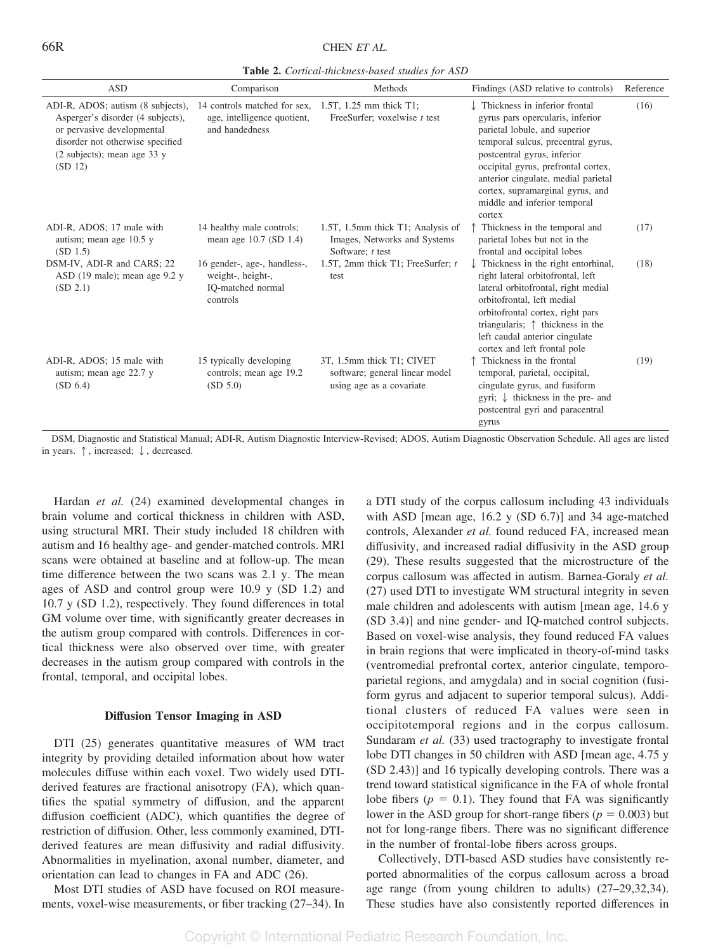**Table 2.** *Cortical-thickness-based studies for ASD*

| <b>ASD</b>                                                                                                                                                                         | Comparison                                                                         | Methods                                                                                 | Findings (ASD relative to controls)                                                                                                                                                                                                                                                                                                 | Reference |
|------------------------------------------------------------------------------------------------------------------------------------------------------------------------------------|------------------------------------------------------------------------------------|-----------------------------------------------------------------------------------------|-------------------------------------------------------------------------------------------------------------------------------------------------------------------------------------------------------------------------------------------------------------------------------------------------------------------------------------|-----------|
| ADI-R, ADOS; autism (8 subjects),<br>Asperger's disorder (4 subjects),<br>or pervasive developmental<br>disorder not otherwise specified<br>(2 subjects); mean age 33 y<br>(SD 12) | 14 controls matched for sex.<br>age, intelligence quotient,<br>and handedness      | 1.5T, 1.25 mm thick T1;<br>FreeSurfer; voxelwise $t$ test                               | Thickness in inferior frontal<br>gyrus pars opercularis, inferior<br>parietal lobule, and superior<br>temporal sulcus, precentral gyrus,<br>postcentral gyrus, inferior<br>occipital gyrus, prefrontal cortex,<br>anterior cingulate, medial parietal<br>cortex, supramarginal gyrus, and<br>middle and inferior temporal<br>cortex | (16)      |
| ADI-R, ADOS; 17 male with<br>autism; mean age 10.5 y<br>(SD 1.5)                                                                                                                   | 14 healthy male controls;<br>mean age 10.7 (SD 1.4)                                | 1.5T, 1.5mm thick T1; Analysis of<br>Images, Networks and Systems<br>Software; $t$ test | Thickness in the temporal and<br>parietal lobes but not in the<br>frontal and occipital lobes                                                                                                                                                                                                                                       | (17)      |
| DSM-IV, ADI-R and CARS; 22<br>ASD $(19 \text{ male})$ ; mean age $9.2 \text{ y}$<br>(SD 2.1)                                                                                       | 16 gender-, age-, handless-,<br>weight-, height-,<br>IO-matched normal<br>controls | 1.5T, 2mm thick T1; FreeSurfer; t<br>test                                               | Thickness in the right entorhinal,<br>right lateral orbitofrontal, left<br>lateral orbitofrontal, right medial<br>orbitofrontal, left medial<br>orbitofrontal cortex, right pars<br>triangularis; $\uparrow$ thickness in the<br>left caudal anterior cingulate<br>cortex and left frontal pole                                     | (18)      |
| ADI-R, ADOS; 15 male with<br>autism; mean age 22.7 y<br>(SD 6.4)                                                                                                                   | 15 typically developing<br>controls; mean age 19.2<br>(SD 5.0)                     | 3T, 1.5mm thick T1; CIVET<br>software; general linear model<br>using age as a covariate | Thickness in the frontal<br>temporal, parietal, occipital,<br>cingulate gyrus, and fusiform<br>gyri; $\downarrow$ thickness in the pre- and<br>postcentral gyri and paracentral<br>gyrus                                                                                                                                            | (19)      |

DSM, Diagnostic and Statistical Manual; ADI-R, Autism Diagnostic Interview-Revised; ADOS, Autism Diagnostic Observation Schedule. All ages are listed in years.  $\uparrow$ , increased;  $\downarrow$ , decreased.

Hardan *et al.* (24) examined developmental changes in brain volume and cortical thickness in children with ASD, using structural MRI. Their study included 18 children with autism and 16 healthy age- and gender-matched controls. MRI scans were obtained at baseline and at follow-up. The mean time difference between the two scans was 2.1 y. The mean ages of ASD and control group were 10.9 y (SD 1.2) and 10.7 y (SD 1.2), respectively. They found differences in total GM volume over time, with significantly greater decreases in the autism group compared with controls. Differences in cortical thickness were also observed over time, with greater decreases in the autism group compared with controls in the frontal, temporal, and occipital lobes.

#### **Diffusion Tensor Imaging in ASD**

DTI (25) generates quantitative measures of WM tract integrity by providing detailed information about how water molecules diffuse within each voxel. Two widely used DTIderived features are fractional anisotropy (FA), which quantifies the spatial symmetry of diffusion, and the apparent diffusion coefficient (ADC), which quantifies the degree of restriction of diffusion. Other, less commonly examined, DTIderived features are mean diffusivity and radial diffusivity. Abnormalities in myelination, axonal number, diameter, and orientation can lead to changes in FA and ADC (26).

Most DTI studies of ASD have focused on ROI measurements, voxel-wise measurements, or fiber tracking (27–34). In a DTI study of the corpus callosum including 43 individuals with ASD [mean age, 16.2 y (SD 6.7)] and 34 age-matched controls, Alexander *et al.* found reduced FA, increased mean diffusivity, and increased radial diffusivity in the ASD group (29). These results suggested that the microstructure of the corpus callosum was affected in autism. Barnea-Goraly *et al.* (27) used DTI to investigate WM structural integrity in seven male children and adolescents with autism [mean age, 14.6 y (SD 3.4)] and nine gender- and IQ-matched control subjects. Based on voxel-wise analysis, they found reduced FA values in brain regions that were implicated in theory-of-mind tasks (ventromedial prefrontal cortex, anterior cingulate, temporoparietal regions, and amygdala) and in social cognition (fusiform gyrus and adjacent to superior temporal sulcus). Additional clusters of reduced FA values were seen in occipitotemporal regions and in the corpus callosum. Sundaram *et al.* (33) used tractography to investigate frontal lobe DTI changes in 50 children with ASD [mean age, 4.75 y (SD 2.43)] and 16 typically developing controls. There was a trend toward statistical significance in the FA of whole frontal lobe fibers  $(p = 0.1)$ . They found that FA was significantly lower in the ASD group for short-range fibers  $(p = 0.003)$  but not for long-range fibers. There was no significant difference in the number of frontal-lobe fibers across groups.

Collectively, DTI-based ASD studies have consistently reported abnormalities of the corpus callosum across a broad age range (from young children to adults) (27–29,32,34). These studies have also consistently reported differences in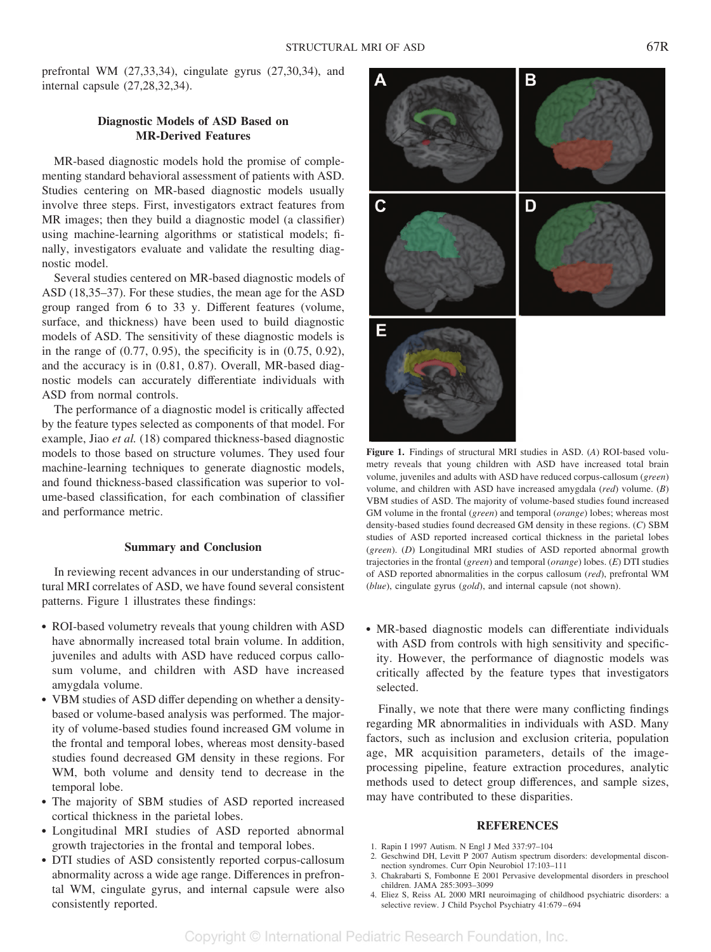prefrontal WM (27,33,34), cingulate gyrus (27,30,34), and internal capsule (27,28,32,34).

# **Diagnostic Models of ASD Based on MR-Derived Features**

MR-based diagnostic models hold the promise of complementing standard behavioral assessment of patients with ASD. Studies centering on MR-based diagnostic models usually involve three steps. First, investigators extract features from MR images; then they build a diagnostic model (a classifier) using machine-learning algorithms or statistical models; finally, investigators evaluate and validate the resulting diagnostic model.

Several studies centered on MR-based diagnostic models of ASD (18,35–37). For these studies, the mean age for the ASD group ranged from 6 to 33 y. Different features (volume, surface, and thickness) have been used to build diagnostic models of ASD. The sensitivity of these diagnostic models is in the range of (0.77, 0.95), the specificity is in (0.75, 0.92), and the accuracy is in (0.81, 0.87). Overall, MR-based diagnostic models can accurately differentiate individuals with ASD from normal controls.

The performance of a diagnostic model is critically affected by the feature types selected as components of that model. For example, Jiao *et al.* (18) compared thickness-based diagnostic models to those based on structure volumes. They used four machine-learning techniques to generate diagnostic models, and found thickness-based classification was superior to volume-based classification, for each combination of classifier and performance metric.

## **Summary and Conclusion**

In reviewing recent advances in our understanding of structural MRI correlates of ASD, we have found several consistent patterns. Figure 1 illustrates these findings:

- ROI-based volumetry reveals that young children with ASD have abnormally increased total brain volume. In addition, juveniles and adults with ASD have reduced corpus callosum volume, and children with ASD have increased amygdala volume.
- VBM studies of ASD differ depending on whether a densitybased or volume-based analysis was performed. The majority of volume-based studies found increased GM volume in the frontal and temporal lobes, whereas most density-based studies found decreased GM density in these regions. For WM, both volume and density tend to decrease in the temporal lobe.
- The majority of SBM studies of ASD reported increased cortical thickness in the parietal lobes.
- Longitudinal MRI studies of ASD reported abnormal growth trajectories in the frontal and temporal lobes.
- DTI studies of ASD consistently reported corpus-callosum abnormality across a wide age range. Differences in prefrontal WM, cingulate gyrus, and internal capsule were also consistently reported.



**Figure 1.** Findings of structural MRI studies in ASD. (*A*) ROI-based volumetry reveals that young children with ASD have increased total brain volume, juveniles and adults with ASD have reduced corpus-callosum (*green*) volume, and children with ASD have increased amygdala (*red*) volume. (*B*) VBM studies of ASD. The majority of volume-based studies found increased GM volume in the frontal (*green*) and temporal (*orange*) lobes; whereas most density-based studies found decreased GM density in these regions. (*C*) SBM studies of ASD reported increased cortical thickness in the parietal lobes (*green*). (*D*) Longitudinal MRI studies of ASD reported abnormal growth trajectories in the frontal (*green*) and temporal (*orange*) lobes. (*E*) DTI studies of ASD reported abnormalities in the corpus callosum (*red*), prefrontal WM (*blue*), cingulate gyrus (*gold*), and internal capsule (not shown).

• MR-based diagnostic models can differentiate individuals with ASD from controls with high sensitivity and specificity. However, the performance of diagnostic models was critically affected by the feature types that investigators selected.

Finally, we note that there were many conflicting findings regarding MR abnormalities in individuals with ASD. Many factors, such as inclusion and exclusion criteria, population age, MR acquisition parameters, details of the imageprocessing pipeline, feature extraction procedures, analytic methods used to detect group differences, and sample sizes, may have contributed to these disparities.

### **REFERENCES**

- 1. Rapin I 1997 Autism. N Engl J Med 337:97–104
- 2. Geschwind DH, Levitt P 2007 Autism spectrum disorders: developmental disconnection syndromes. Curr Opin Neurobiol 17:103–111
- 3. Chakrabarti S, Fombonne E 2001 Pervasive developmental disorders in preschool children. JAMA 285:3093–3099
- 4. Eliez S, Reiss AL 2000 MRI neuroimaging of childhood psychiatric disorders: a selective review. J Child Psychol Psychiatry 41:679-694